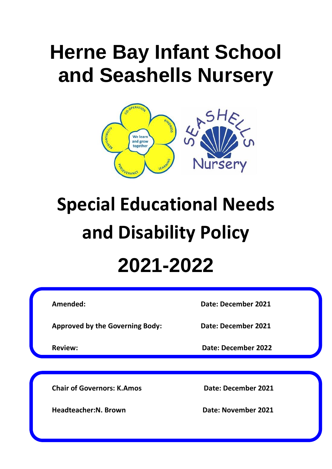## **Herne Bay Infant School and Seashells Nursery**



# **Special Educational Needs and Disability Policy 2021-2022**

**Approved by the Governing Body: Date: December 2021**

**Amended: Date: December 2021**

**Review: Date: December 2022**

**Chair of Governors: K.Amos Date: December 2021**

**Headteacher:N. Brown Case Control Bate: November 2021**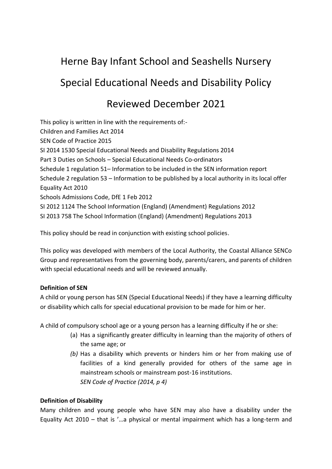## Herne Bay Infant School and Seashells Nursery Special Educational Needs and Disability Policy

### Reviewed December 2021

This policy is written in line with the requirements of:- Children and Families Act 2014 SEN Code of Practice 2015 SI 2014 1530 Special Educational Needs and Disability Regulations 2014 Part 3 Duties on Schools – Special Educational Needs Co-ordinators Schedule 1 regulation 51– Information to be included in the SEN information report Schedule 2 regulation 53 – Information to be published by a local authority in its local offer Equality Act 2010 Schools Admissions Code, DfE 1 Feb 2012 SI 2012 1124 The School Information (England) (Amendment) Regulations 2012 SI 2013 758 The School Information (England) (Amendment) Regulations 2013

This policy should be read in conjunction with existing school policies.

This policy was developed with members of the Local Authority, the Coastal Alliance SENCo Group and representatives from the governing body, parents/carers, and parents of children with special educational needs and will be reviewed annually.

#### **Definition of SEN**

A child or young person has SEN (Special Educational Needs) if they have a learning difficulty or disability which calls for special educational provision to be made for him or her.

A child of compulsory school age or a young person has a learning difficulty if he or she:

- (a) Has a significantly greater difficulty in learning than the majority of others of the same age; or
- *(b)* Has a disability which prevents or hinders him or her from making use of facilities of a kind generally provided for others of the same age in mainstream schools or mainstream post-16 institutions. *SEN Code of Practice (2014, p 4)*

#### **Definition of Disability**

Many children and young people who have SEN may also have a disability under the Equality Act 2010 – that is '…a physical or mental impairment which has a long-term and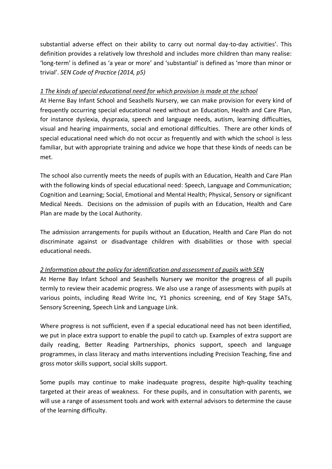substantial adverse effect on their ability to carry out normal day-to-day activities'. This definition provides a relatively low threshold and includes more children than many realise: 'long-term' is defined as 'a year or more' and 'substantial' is defined as 'more than minor or trivial'. *SEN Code of Practice (2014, p5)*

#### *1 The kinds of special educational need for which provision is made at the school*

At Herne Bay Infant School and Seashells Nursery, we can make provision for every kind of frequently occurring special educational need without an Education, Health and Care Plan, for instance dyslexia, dyspraxia, speech and language needs, autism, learning difficulties, visual and hearing impairments, social and emotional difficulties. There are other kinds of special educational need which do not occur as frequently and with which the school is less familiar, but with appropriate training and advice we hope that these kinds of needs can be met.

The school also currently meets the needs of pupils with an Education, Health and Care Plan with the following kinds of special educational need: Speech, Language and Communication; Cognition and Learning; Social, Emotional and Mental Health; Physical, Sensory or significant Medical Needs. Decisions on the admission of pupils with an Education, Health and Care Plan are made by the Local Authority.

The admission arrangements for pupils without an Education, Health and Care Plan do not discriminate against or disadvantage children with disabilities or those with special educational needs.

#### *2 Information about the policy for identification and assessment of pupils with SEN*

At Herne Bay Infant School and Seashells Nursery we monitor the progress of all pupils termly to review their academic progress. We also use a range of assessments with pupils at various points, including Read Write Inc, Y1 phonics screening, end of Key Stage SATs, Sensory Screening, Speech Link and Language Link.

Where progress is not sufficient, even if a special educational need has not been identified, we put in place extra support to enable the pupil to catch up. Examples of extra support are daily reading, Better Reading Partnerships, phonics support, speech and language programmes, in class literacy and maths interventions including Precision Teaching, fine and gross motor skills support, social skills support.

Some pupils may continue to make inadequate progress, despite high-quality teaching targeted at their areas of weakness. For these pupils, and in consultation with parents, we will use a range of assessment tools and work with external advisors to determine the cause of the learning difficulty.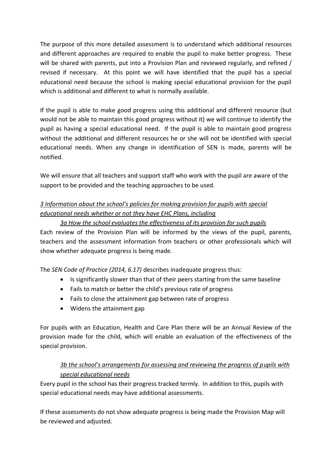The purpose of this more detailed assessment is to understand which additional resources and different approaches are required to enable the pupil to make better progress. These will be shared with parents, put into a Provision Plan and reviewed regularly, and refined / revised if necessary. At this point we will have identified that the pupil has a special educational need because the school is making special educational provision for the pupil which is additional and different to what is normally available.

If the pupil is able to make good progress using this additional and different resource (but would not be able to maintain this good progress without it) we will continue to identify the pupil as having a special educational need. If the pupil is able to maintain good progress without the additional and different resources he or she will not be identified with special educational needs. When any change in identification of SEN is made, parents will be notified.

We will ensure that all teachers and support staff who work with the pupil are aware of the support to be provided and the teaching approaches to be used.

#### *3 Information about the school's policies for making provision for pupils with special educational needs whether or not they have EHC Plans, including*

#### *3a How the school evaluates the effectiveness of its provision for such pupils*

Each review of the Provision Plan will be informed by the views of the pupil, parents, teachers and the assessment information from teachers or other professionals which will show whether adequate progress is being made.

The *SEN Code of Practice (2014, 6.17)* describes inadequate progress thus:

- Is significantly slower than that of their peers starting from the same baseline
- Fails to match or better the child's previous rate of progress
- Fails to close the attainment gap between rate of progress
- Widens the attainment gap

For pupils with an Education, Health and Care Plan there will be an Annual Review of the provision made for the child, which will enable an evaluation of the effectiveness of the special provision.

#### *3b the school's arrangements for assessing and reviewing the progress of pupils with special educational needs*

Every pupil in the school has their progress tracked termly. In addition to this, pupils with special educational needs may have additional assessments.

If these assessments do not show adequate progress is being made the Provision Map will be reviewed and adjusted.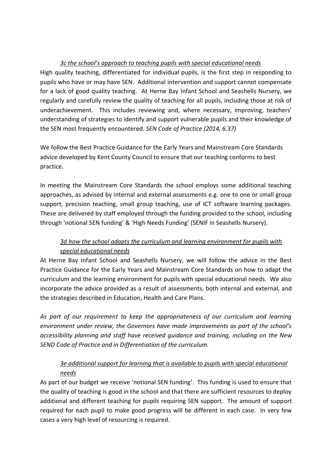#### *3c the school's approach to teaching pupils with special educational needs*

High quality teaching, differentiated for individual pupils, is the first step in responding to pupils who have or may have SEN. Additional intervention and support cannot compensate for a lack of good quality teaching. At Herne Bay Infant School and Seashells Nursery, we regularly and carefully review the quality of teaching for all pupils, including those at risk of underachievement. This includes reviewing and, where necessary, improving, teachers' understanding of strategies to identify and support vulnerable pupils and their knowledge of the SEN most frequently encountered. *SEN Code of Practice (2014, 6.37)*

We follow the Best Practice Guidance for the Early Years and Mainstream Core Standards advice developed by Kent County Council to ensure that our teaching conforms to best practice.

In meeting the Mainstream Core Standards the school employs some additional teaching approaches, as advised by internal and external assessments e.g. one to one or small group support, precision teaching, small group teaching, use of ICT software learning packages. These are delivered by staff employed through the funding provided to the school, including through 'notional SEN funding' & 'High Needs Funding' (SENIF in Seashells Nursery).

#### *3d how the school adapts the curriculum and learning environment for pupils with special educational needs*

At Herne Bay Infant School and Seashells Nursery, we will follow the advice in the Best Practice Guidance for the Early Years and Mainstream Core Standards on how to adapt the curriculum and the learning environment for pupils with special educational needs. We also incorporate the advice provided as a result of assessments, both internal and external, and the strategies described in Education, Health and Care Plans.

*As part of our requirement to keep the appropriateness of our curriculum and learning environment under review, the Governors have made improvements as part of the school's accessibility planning and staff have received guidance and training, including on the New SEND Code of Practice and in Differentiation of the curriculum.* 

#### *3e additional support for learning that is available to pupils with special educational needs*

As part of our budget we receive 'notional SEN funding'. This funding is used to ensure that the quality of teaching is good in the school and that there are sufficient resources to deploy additional and different teaching for pupils requiring SEN support. The amount of support required for each pupil to make good progress will be different in each case. In very few cases a very high level of resourcing is required.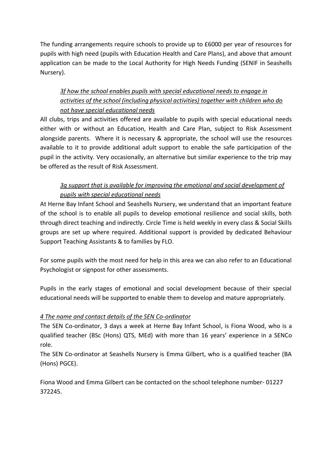The funding arrangements require schools to provide up to £6000 per year of resources for pupils with high need (pupils with Education Health and Care Plans), and above that amount application can be made to the Local Authority for High Needs Funding (SENIF in Seashells Nursery).

#### *3f how the school enables pupils with special educational needs to engage in activities of the school (including physical activities) together with children who do not have special educational needs*

All clubs, trips and activities offered are available to pupils with special educational needs either with or without an Education, Health and Care Plan, subject to Risk Assessment alongside parents. Where it is necessary & appropriate, the school will use the resources available to it to provide additional adult support to enable the safe participation of the pupil in the activity. Very occasionally, an alternative but similar experience to the trip may be offered as the result of Risk Assessment.

#### *3g support that is available for improving the emotional and social development of pupils with special educational needs*

At Herne Bay Infant School and Seashells Nursery, we understand that an important feature of the school is to enable all pupils to develop emotional resilience and social skills, both through direct teaching and indirectly. Circle Time is held weekly in every class & Social Skills groups are set up where required. Additional support is provided by dedicated Behaviour Support Teaching Assistants & to families by FLO.

For some pupils with the most need for help in this area we can also refer to an Educational Psychologist or signpost for other assessments.

Pupils in the early stages of emotional and social development because of their special educational needs will be supported to enable them to develop and mature appropriately.

#### *4 The name and contact details of the SEN Co-ordinator*

The SEN Co-ordinator, 3 days a week at Herne Bay Infant School, is Fiona Wood, who is a qualified teacher (BSc (Hons) QTS, MEd) with more than 16 years' experience in a SENCo role.

The SEN Co-ordinator at Seashells Nursery is Emma Gilbert, who is a qualified teacher (BA (Hons) PGCE).

Fiona Wood and Emma Gilbert can be contacted on the school telephone number- 01227 372245.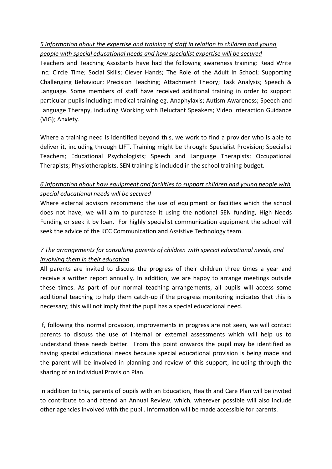#### *5 Information about the expertise and training of staff in relation to children and young people with special educational needs and how specialist expertise will be secured*

Teachers and Teaching Assistants have had the following awareness training: Read Write Inc; Circle Time; Social Skills; Clever Hands; The Role of the Adult in School; Supporting Challenging Behaviour; Precision Teaching; Attachment Theory; Task Analysis; Speech & Language. Some members of staff have received additional training in order to support particular pupils including: medical training eg. Anaphylaxis; Autism Awareness; Speech and Language Therapy, including Working with Reluctant Speakers; Video Interaction Guidance (VIG); Anxiety.

Where a training need is identified beyond this, we work to find a provider who is able to deliver it, including through LIFT. Training might be through: Specialist Provision; Specialist Teachers; Educational Psychologists; Speech and Language Therapists; Occupational Therapists; Physiotherapists. SEN training is included in the school training budget.

#### *6 Information about how equipment and facilities to support children and young people with special educational needs will be secured*

Where external advisors recommend the use of equipment or facilities which the school does not have, we will aim to purchase it using the notional SEN funding, High Needs Funding or seek it by loan. For highly specialist communication equipment the school will seek the advice of the KCC Communication and Assistive Technology team.

#### *7 The arrangements for consulting parents of children with special educational needs, and involving them in their education*

All parents are invited to discuss the progress of their children three times a year and receive a written report annually. In addition, we are happy to arrange meetings outside these times. As part of our normal teaching arrangements, all pupils will access some additional teaching to help them catch-up if the progress monitoring indicates that this is necessary; this will not imply that the pupil has a special educational need.

If, following this normal provision, improvements in progress are not seen, we will contact parents to discuss the use of internal or external assessments which will help us to understand these needs better. From this point onwards the pupil may be identified as having special educational needs because special educational provision is being made and the parent will be involved in planning and review of this support, including through the sharing of an individual Provision Plan.

In addition to this, parents of pupils with an Education, Health and Care Plan will be invited to contribute to and attend an Annual Review, which, wherever possible will also include other agencies involved with the pupil. Information will be made accessible for parents.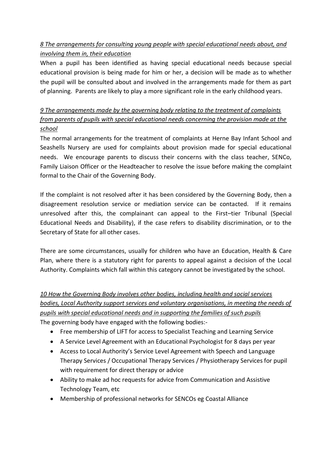#### *8 The arrangements for consulting young people with special educational needs about, and involving them in, their education*

When a pupil has been identified as having special educational needs because special educational provision is being made for him or her, a decision will be made as to whether the pupil will be consulted about and involved in the arrangements made for them as part of planning. Parents are likely to play a more significant role in the early childhood years.

#### *9 The arrangements made by the governing body relating to the treatment of complaints from parents of pupils with special educational needs concerning the provision made at the school*

The normal arrangements for the treatment of complaints at Herne Bay Infant School and Seashells Nursery are used for complaints about provision made for special educational needs. We encourage parents to discuss their concerns with the class teacher, SENCo, Family Liaison Officer or the Headteacher to resolve the issue before making the complaint formal to the Chair of the Governing Body.

If the complaint is not resolved after it has been considered by the Governing Body, then a disagreement resolution service or mediation service can be contacted. If it remains unresolved after this, the complainant can appeal to the First–tier Tribunal (Special Educational Needs and Disability), if the case refers to disability discrimination, or to the Secretary of State for all other cases.

There are some circumstances, usually for children who have an Education, Health & Care Plan, where there is a statutory right for parents to appeal against a decision of the Local Authority. Complaints which fall within this category cannot be investigated by the school.

*10 How the Governing Body involves other bodies, including health and social services bodies, Local Authority support services and voluntary organisations, in meeting the needs of pupils with special educational needs and in supporting the families of such pupils* The governing body have engaged with the following bodies:-

- Free membership of LIFT for access to Specialist Teaching and Learning Service
- A Service Level Agreement with an Educational Psychologist for 8 days per year
- Access to Local Authority's Service Level Agreement with Speech and Language Therapy Services / Occupational Therapy Services / Physiotherapy Services for pupil with requirement for direct therapy or advice
- Ability to make ad hoc requests for advice from Communication and Assistive Technology Team, etc
- Membership of professional networks for SENCOs eg Coastal Alliance